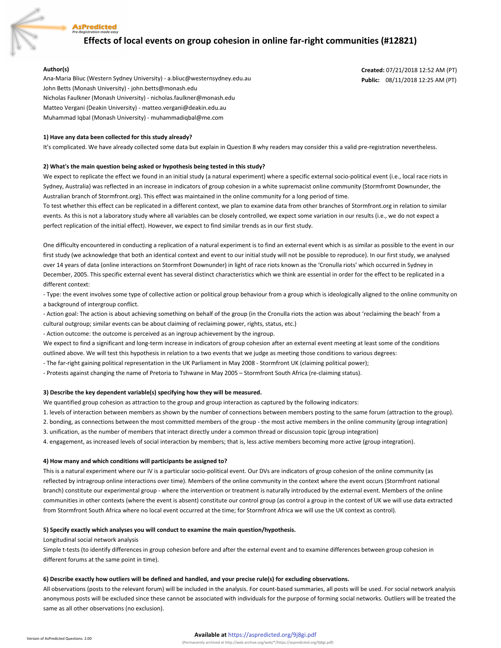

# **Effects of local events on group cohesion in online far-right communities (#12821)**

**Created:** 07/21/2018 12:52 AM (PT) **Public:** 08/11/2018 12:25 AM (PT)

#### **Author(s)**

Ana-Maria Bliuc (Western Sydney University) - a.bliuc@westernsydney.edu.au John Betts (Monash University) - john.betts@monash.edu Nicholas Faulkner (Monash University) - nicholas.faulkner@monash.edu Matteo Vergani (Deakin University) - matteo.vergani@deakin.edu.au Muhammad Iqbal (Monash University) - muhammadiqbal@me.com

#### **1) Have any data been collected for this study already?**

It's complicated. We have already collected some data but explain in Question 8 why readers may consider this a valid pre-registration nevertheless.

#### **2) What's the main question being asked or hypothesis being tested in this study?**

We expect to replicate the effect we found in an initial study (a natural experiment) where a specific external socio-political event (i.e., local race riots in Sydney, Australia) was reflected in an increase in indicators of group cohesion in a white supremacist online community (Stormfromt Downunder, the Australian branch of Stormfront.org). This effect was maintained in the online community for a long period of time.

To test whether this effect can be replicated in a different context, we plan to examine data from other branches of Stormfront.org in relation to similar events. As this is not a laboratory study where all variables can be closely controlled, we expect some variation in our results (i.e., we do not expect a perfect replication of the initial effect). However, we expect to find similar trends as in our first study.

One difficulty encountered in conducting a replication of a natural experiment is to find an external event which is as similar as possible to the event in our first study (we acknowledge that both an identical context and event to our initial study will not be possible to reproduce). In our first study, we analysed over 14 years of data (online interactions on Stormfront Downunder) in light of race riots known as the 'Cronulla riots' which occurred in Sydney in December, 2005. This specific external event has several distinct characteristics which we think are essential in order for the effect to be replicated in a different context:

- Type: the event involves some type of collective action or political group behaviour from a group which is ideologically aligned to the online community on a background of intergroup conflict.

- Action goal: The action is about achieving something on behalf of the group (in the Cronulla riots the action was about 'reclaiming the beach' from a cultural outgroup; similar events can be about claiming of reclaiming power, rights, status, etc.)

- Action outcome: the outcome is perceived as an ingroup achievement by the ingroup.

We expect to find a significant and long-term increase in indicators of group cohesion after an external event meeting at least some of the conditions

outlined above. We will test this hypothesis in relation to a two events that we judge as meeting those conditions to various degrees:

- The far-right gaining political representation in the UK Parliament in May 2008 - Stormfront UK (claiming political power);

- Protests against changing the name of Pretoria to Tshwane in May 2005 – Stormfront South Africa (re-claiming status).

#### **3) Describe the key dependent variable(s) specifying how they will be measured.**

We quantified group cohesion as attraction to the group and group interaction as captured by the following indicators:

1. levels of interaction between members as shown by the number of connections between members posting to the same forum (attraction to the group).

2. bonding, as connections between the most committed members of the group - the most active members in the online community (group integration) 3. unification, as the number of members that interact directly under a common thread or discussion topic (group integration)

4. engagement, as increased levels of social interaction by members; that is, less active members becoming more active (group integration).

#### **4) How many and which conditions will participants be assigned to?**

This is a natural experiment where our IV is a particular socio-political event. Our DVs are indicators of group cohesion of the online community (as reflected by intragroup online interactions over time). Members of the online community in the context where the event occurs (Stormfront national branch) constitute our experimental group - where the intervention or treatment is naturally introduced by the external event. Members of the online communities in other contexts (where the event is absent) constitute our control group (as control a group in the context of UK we will use data extracted from Stormfront South Africa where no local event occurred at the time; for Stormfront Africa we will use the UK context as control).

#### **5) Specify exactly which analyses you will conduct to examine the main question/hypothesis.**

Longitudinal social network analysis

Simple t-tests (to identify differences in group cohesion before and after the external event and to examine differences between group cohesion in different forums at the same point in time).

#### **6) Describe exactly how outliers will be defined and handled, and your precise rule(s) for excluding observations.**

All observations (posts to the relevant forum) will be included in the analysis. For count-based summaries, all posts will be used. For social network analysis anonymous posts will be excluded since these cannot be associated with individuals for the purpose of forming social networks. Outliers will be treated the same as all other observations (no exclusion).